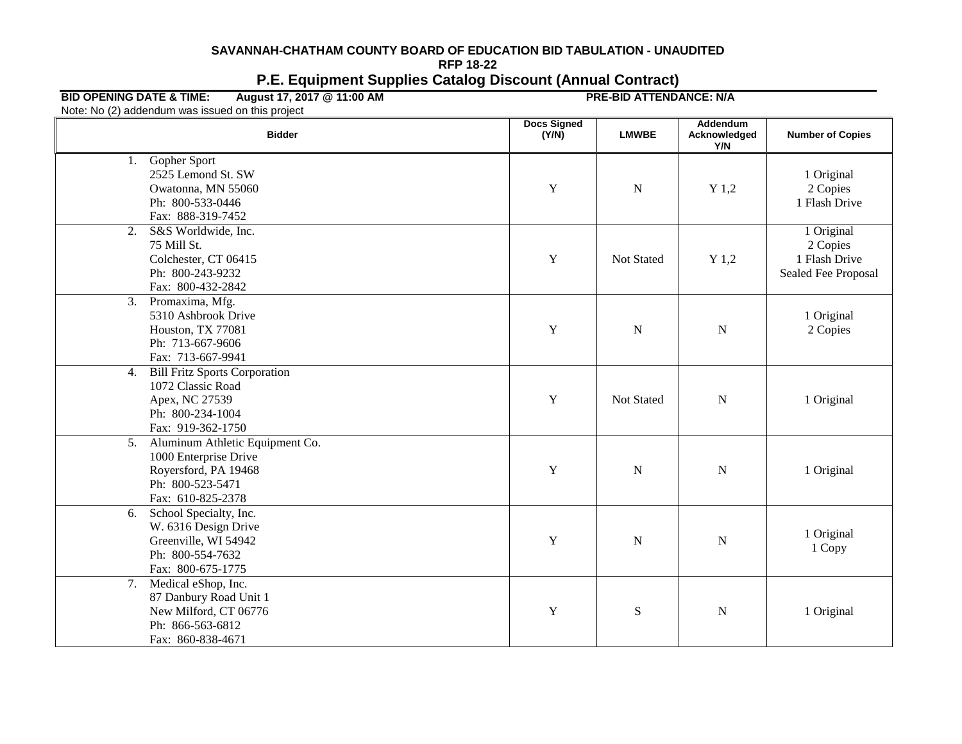## **SAVANNAH-CHATHAM COUNTY BOARD OF EDUCATION BID TABULATION - UNAUDITED RFP 18-22 P.E. Equipment Supplies Catalog Discount (Annual Contract)**

## **BID OPENING DATE & TIME: August 17, 2017 @ 11:00 AM PRE-BID ATTENDANCE: N/A**

Note: No (2) addendum was issued on this project

| <b>Bidder</b>                                                                                                                                 | <b>Docs Signed</b><br>(Y/N) | <b>LMWBE</b> | Addendum<br>Acknowledged<br>Y/N | <b>Number of Copies</b>                                        |  |
|-----------------------------------------------------------------------------------------------------------------------------------------------|-----------------------------|--------------|---------------------------------|----------------------------------------------------------------|--|
| Gopher Sport<br>1.<br>2525 Lemond St. SW<br>Owatonna, MN 55060<br>Ph: 800-533-0446<br>Fax: 888-319-7452                                       | $\mathbf Y$                 | N            | $Y$ 1,2                         | 1 Original<br>2 Copies<br>1 Flash Drive                        |  |
| S&S Worldwide, Inc.<br>2.<br>75 Mill St.<br>Colchester, CT 06415<br>Ph: 800-243-9232<br>Fax: 800-432-2842                                     | $\mathbf Y$                 | Not Stated   | $Y$ 1,2                         | 1 Original<br>2 Copies<br>1 Flash Drive<br>Sealed Fee Proposal |  |
| $\overline{3}$ .<br>Promaxima, Mfg.<br>5310 Ashbrook Drive<br>Houston, TX 77081<br>Ph: 713-667-9606<br>Fax: 713-667-9941                      | $\mathbf Y$                 | $\mathbf N$  | ${\bf N}$                       | 1 Original<br>2 Copies                                         |  |
| <b>Bill Fritz Sports Corporation</b><br>4.<br>1072 Classic Road<br>Apex, NC 27539<br>Ph: 800-234-1004<br>Fax: 919-362-1750                    | Y                           | Not Stated   | ${\bf N}$                       | 1 Original                                                     |  |
| $\overline{5}$ .<br>Aluminum Athletic Equipment Co.<br>1000 Enterprise Drive<br>Royersford, PA 19468<br>Ph: 800-523-5471<br>Fax: 610-825-2378 | $\mathbf Y$                 | N            | ${\bf N}$                       | 1 Original                                                     |  |
| 6.<br>School Specialty, Inc.<br>W. 6316 Design Drive<br>Greenville, WI 54942<br>Ph: 800-554-7632<br>Fax: 800-675-1775                         | Y                           | N            | $\mathbf N$                     | 1 Original<br>1 Copy                                           |  |
| 7. Medical eShop, Inc.<br>87 Danbury Road Unit 1<br>New Milford, CT 06776<br>Ph: 866-563-6812<br>Fax: 860-838-4671                            | $\mathbf Y$                 | ${\bf S}$    | ${\bf N}$                       | 1 Original                                                     |  |